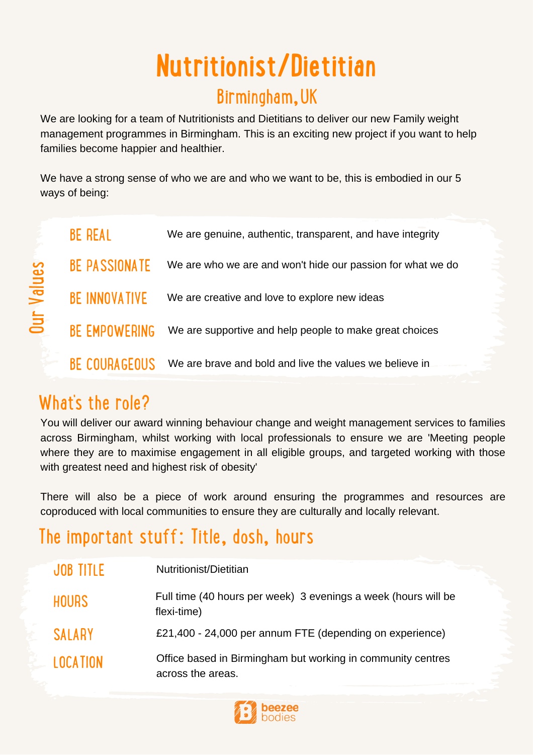# **Nutritionist/Dietitian**

#### Birmingham,UK

We are looking for a team of Nutritionists and Dietitians to deliver our new Family weight management programmes in Birmingham. This is an exciting new project if you want to help families become happier and healthier.

We have a strong sense of who we are and who we want to be, this is embodied in our 5 ways of being:

|              | <b>BE REAL</b>       | We are genuine, authentic, transparent, and have integrity  |
|--------------|----------------------|-------------------------------------------------------------|
| alues<br>Jur | <b>BE PASSIONATE</b> | We are who we are and won't hide our passion for what we do |
|              | <b>BE INNOVATIVE</b> | We are creative and love to explore new ideas               |
|              | <b>BE EMPOWERING</b> | We are supportive and help people to make great choices     |
|              | <b>BE COURAGEOUS</b> | We are brave and bold and live the values we believe in     |

# What's the role?

> You will deliver our award winning behaviour change and weight management services to families across Birmingham, whilst working with local professionals to ensure we are 'Meeting people where they are to maximise engagement in all eligible groups, and targeted working with those with greatest need and highest risk of obesity'

> There will also be a piece of work around ensuring the programmes and resources are coproduced with local communities to ensure they are culturally and locally relevant.

# The important stuff: Title, dosh, hours

| JOB TITLE       | Nutritionist/Dietitian                                                           |
|-----------------|----------------------------------------------------------------------------------|
| <b>HOURS</b>    | Full time (40 hours per week) 3 evenings a week (hours will be<br>flexi-time)    |
| <b>SALARY</b>   | £21,400 - 24,000 per annum FTE (depending on experience)                         |
| <b>LOCATION</b> | Office based in Birmingham but working in community centres<br>across the areas. |

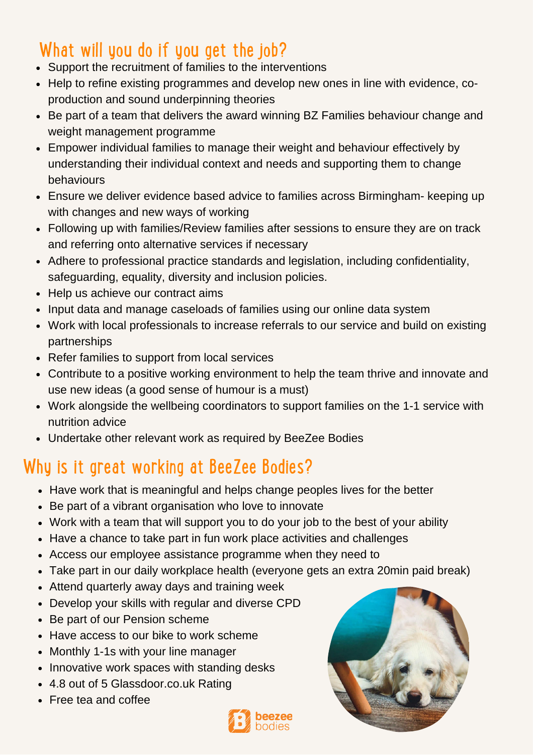# What will you do if you get the job?

- Support the recruitment of families to the interventions
- Help to refine existing programmes and develop new ones in line with evidence, coproduction and sound underpinning theories
- Be part of a team that delivers the award winning BZ Families behaviour change and weight management programme
- Empower individual families to manage their weight and behaviour effectively by understanding their individual context and needs and supporting them to change behaviours
- Ensure we deliver evidence based advice to families across Birmingham- keeping up with changes and new ways of working
- Following up with families/Review families after sessions to ensure they are on track and referring onto alternative services if necessary
- Adhere to professional practice standards and legislation, including confidentiality, safeguarding, equality, diversity and inclusion policies.
- Help us achieve our contract aims
- Input data and manage caseloads of families using our online data system
- Work with local professionals to increase referrals to our service and build on existing partnerships
- Refer families to support from local services
- Contribute to a positive working environment to help the team thrive and innovate and use new ideas (a good sense of humour is a must)
- Work alongside the wellbeing coordinators to support families on the 1-1 service with nutrition advice
- Undertake other relevant work as required by BeeZee Bodies

#### Why is it great working at BeeZee Bodies?

- Have work that is meaningful and helps change peoples lives for the better
- Be part of a vibrant organisation who love to innovate
- Work with a team that will support you to do your job to the best of your ability
- Have a chance to take part in fun work place activities and challenges
- Access our employee assistance programme when they need to
- Take part in our daily workplace health (everyone gets an extra 20min paid break)
- Attend quarterly away days and training week
- Develop your skills with regular and diverse CPD
- Be part of our Pension scheme
- Have access to our bike to work scheme
- Monthly 1-1s with your line manager
- Innovative work spaces with standing desks
- 4.8 out of 5 Glassdoor.co.uk Rating
- Free tea and coffee



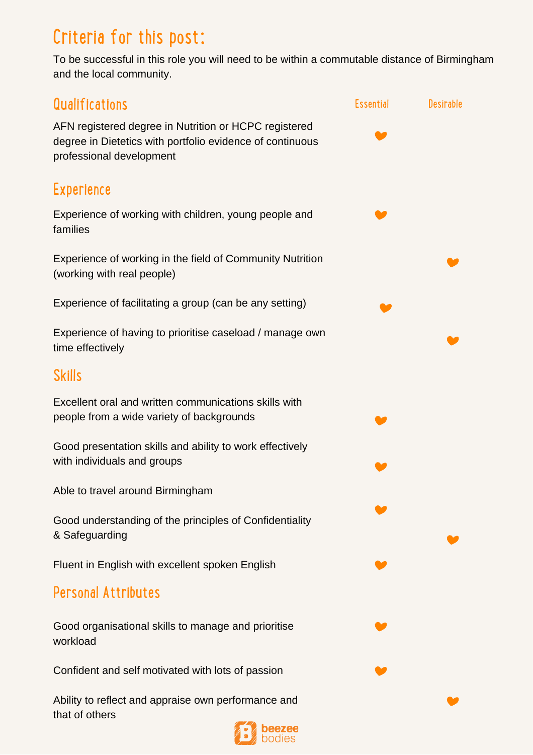# Criteria for this post:

To be successful in this role you will need to be within a commutable distance of Birmingham and the local community.